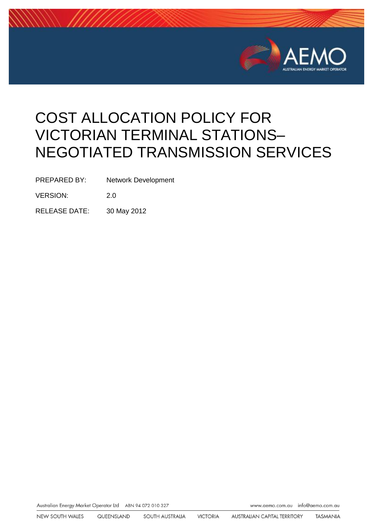

# COST ALLOCATION POLICY FOR VICTORIAN TERMINAL STATIONS– NEGOTIATED TRANSMISSION SERVICES

PREPARED BY: Network Development

VERSION: 2.0

RELEASE DATE: 30 May 2012

Australian Energy Market Operator Ltd ABN 94 072 010 327

www.aemo.com.au info@aemo.com.au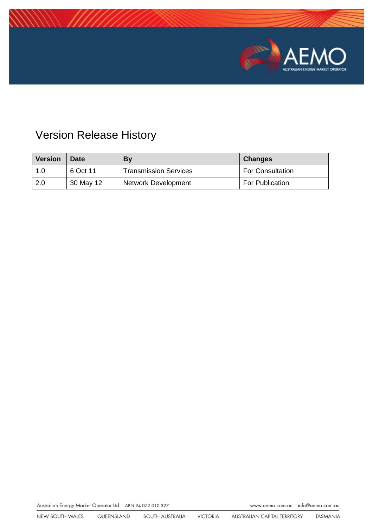

## Version Release History

| Version | Date      | <b>By</b>                    | <b>Changes</b>          |
|---------|-----------|------------------------------|-------------------------|
| 1.0     | 6 Oct 11  | <b>Transmission Services</b> | <b>For Consultation</b> |
| 2.0     | 30 May 12 | Network Development          | For Publication         |

Australian Energy Market Operator Ltd ABN 94 072 010 327

www.aemo.com.au info@aemo.com.au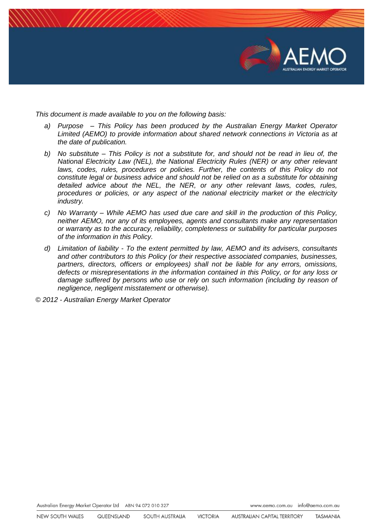

*This document is made available to you on the following basis:* 

- *a) Purpose – This Policy has been produced by the Australian Energy Market Operator Limited (AEMO) to provide information about shared network connections in Victoria as at the date of publication.*
- *b) No substitute – This Policy is not a substitute for, and should not be read in lieu of, the National Electricity Law (NEL), the National Electricity Rules (NER) or any other relevant laws, codes, rules, procedures or policies. Further, the contents of this Policy do not constitute legal or business advice and should not be relied on as a substitute for obtaining detailed advice about the NEL, the NER, or any other relevant laws, codes, rules, procedures or policies, or any aspect of the national electricity market or the electricity industry.*
- *c) No Warranty – While AEMO has used due care and skill in the production of this Policy, neither AEMO, nor any of its employees, agents and consultants make any representation or warranty as to the accuracy, reliability, completeness or suitability for particular purposes of the information in this Policy.*
- *d) Limitation of liability - To the extent permitted by law, AEMO and its advisers, consultants and other contributors to this Policy (or their respective associated companies, businesses, partners, directors, officers or employees) shall not be liable for any errors, omissions, defects or misrepresentations in the information contained in this Policy, or for any loss or damage suffered by persons who use or rely on such information (including by reason of negligence, negligent misstatement or otherwise).*

*© 2012 - Australian Energy Market Operator*

Australian Energy Market Operator Ltd ABN 94 072 010 327

www.aemo.com.au info@aemo.com.au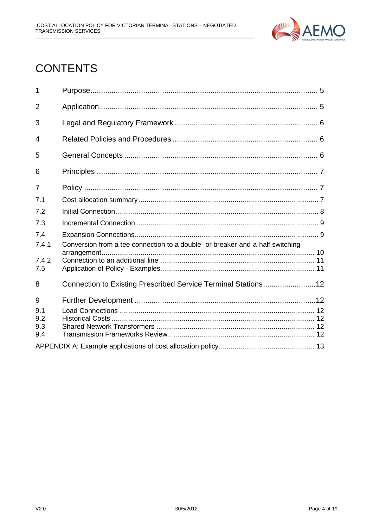

## **CONTENTS**

| 1              |                                                                               |  |  |  |  |
|----------------|-------------------------------------------------------------------------------|--|--|--|--|
| $\overline{2}$ |                                                                               |  |  |  |  |
| 3              |                                                                               |  |  |  |  |
| 4              |                                                                               |  |  |  |  |
| 5              |                                                                               |  |  |  |  |
| 6              |                                                                               |  |  |  |  |
| $\overline{7}$ |                                                                               |  |  |  |  |
| 7.1            |                                                                               |  |  |  |  |
| 7.2            |                                                                               |  |  |  |  |
| 7.3            |                                                                               |  |  |  |  |
| 7.4            |                                                                               |  |  |  |  |
| 7.4.1          | Conversion from a tee connection to a double- or breaker-and-a-half switching |  |  |  |  |
| 7.4.2          |                                                                               |  |  |  |  |
| 7.5            |                                                                               |  |  |  |  |
| 8              | Connection to Existing Prescribed Service Terminal Stations12                 |  |  |  |  |
| 9              |                                                                               |  |  |  |  |
| 9.1            |                                                                               |  |  |  |  |
| 9.2<br>9.3     |                                                                               |  |  |  |  |
| 9.4            |                                                                               |  |  |  |  |
|                |                                                                               |  |  |  |  |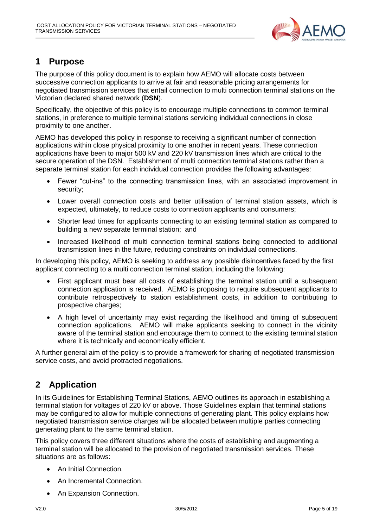

## <span id="page-4-0"></span>**1 Purpose**

The purpose of this policy document is to explain how AEMO will allocate costs between successive connection applicants to arrive at fair and reasonable pricing arrangements for negotiated transmission services that entail connection to multi connection terminal stations on the Victorian declared shared network (**DSN**).

Specifically, the objective of this policy is to encourage multiple connections to common terminal stations, in preference to multiple terminal stations servicing individual connections in close proximity to one another.

AEMO has developed this policy in response to receiving a significant number of connection applications within close physical proximity to one another in recent years. These connection applications have been to major 500 kV and 220 kV transmission lines which are critical to the secure operation of the DSN. Establishment of multi connection terminal stations rather than a separate terminal station for each individual connection provides the following advantages:

- Fewer "cut-ins" to the connecting transmission lines, with an associated improvement in security;
- Lower overall connection costs and better utilisation of terminal station assets, which is expected, ultimately, to reduce costs to connection applicants and consumers;
- Shorter lead times for applicants connecting to an existing terminal station as compared to building a new separate terminal station; and
- Increased likelihood of multi connection terminal stations being connected to additional transmission lines in the future, reducing constraints on individual connections.

In developing this policy, AEMO is seeking to address any possible disincentives faced by the first applicant connecting to a multi connection terminal station, including the following:

- First applicant must bear all costs of establishing the terminal station until a subsequent connection application is received. AEMO is proposing to require subsequent applicants to contribute retrospectively to station establishment costs, in addition to contributing to prospective charges;
- A high level of uncertainty may exist regarding the likelihood and timing of subsequent connection applications. AEMO will make applicants seeking to connect in the vicinity aware of the terminal station and encourage them to connect to the existing terminal station where it is technically and economically efficient.

A further general aim of the policy is to provide a framework for sharing of negotiated transmission service costs, and avoid protracted negotiations.

## <span id="page-4-1"></span>**2 Application**

In its Guidelines for Establishing Terminal Stations, AEMO outlines its approach in establishing a terminal station for voltages of 220 kV or above. Those Guidelines explain that terminal stations may be configured to allow for multiple connections of generating plant. This policy explains how negotiated transmission service charges will be allocated between multiple parties connecting generating plant to the same terminal station.

This policy covers three different situations where the costs of establishing and augmenting a terminal station will be allocated to the provision of negotiated transmission services. These situations are as follows:

- An Initial Connection.
- An Incremental Connection.
- An Expansion Connection.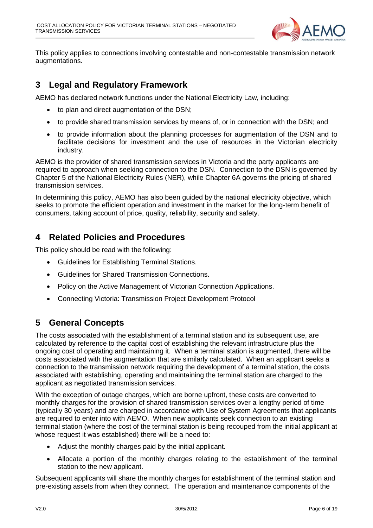

This policy applies to connections involving contestable and non-contestable transmission network augmentations.

## <span id="page-5-0"></span>**3 Legal and Regulatory Framework**

AEMO has declared network functions under the National Electricity Law, including:

- to plan and direct augmentation of the DSN;
- to provide shared transmission services by means of, or in connection with the DSN; and
- to provide information about the planning processes for augmentation of the DSN and to facilitate decisions for investment and the use of resources in the Victorian electricity industry.

AEMO is the provider of shared transmission services in Victoria and the party applicants are required to approach when seeking connection to the DSN. Connection to the DSN is governed by Chapter 5 of the National Electricity Rules (NER), while Chapter 6A governs the pricing of shared transmission services.

In determining this policy, AEMO has also been guided by the national electricity objective, which seeks to promote the efficient operation and investment in the market for the long-term benefit of consumers, taking account of price, quality, reliability, security and safety.

## <span id="page-5-1"></span>**4 Related Policies and Procedures**

This policy should be read with the following:

- Guidelines for Establishing Terminal Stations.
- Guidelines for Shared Transmission Connections.
- Policy on the Active Management of Victorian Connection Applications.
- Connecting Victoria: Transmission Project Development Protocol

## <span id="page-5-2"></span>**5 General Concepts**

The costs associated with the establishment of a terminal station and its subsequent use, are calculated by reference to the capital cost of establishing the relevant infrastructure plus the ongoing cost of operating and maintaining it. When a terminal station is augmented, there will be costs associated with the augmentation that are similarly calculated. When an applicant seeks a connection to the transmission network requiring the development of a terminal station, the costs associated with establishing, operating and maintaining the terminal station are charged to the applicant as negotiated transmission services.

With the exception of outage charges, which are borne upfront, these costs are converted to monthly charges for the provision of shared transmission services over a lengthy period of time (typically 30 years) and are charged in accordance with Use of System Agreements that applicants are required to enter into with AEMO. When new applicants seek connection to an existing terminal station (where the cost of the terminal station is being recouped from the initial applicant at whose request it was established) there will be a need to:

- Adjust the monthly charges paid by the initial applicant.
- Allocate a portion of the monthly charges relating to the establishment of the terminal station to the new applicant.

Subsequent applicants will share the monthly charges for establishment of the terminal station and pre-existing assets from when they connect. The operation and maintenance components of the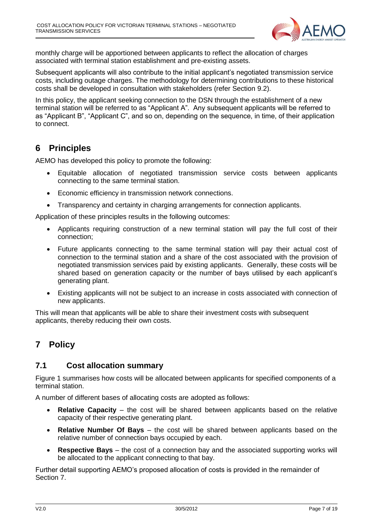

monthly charge will be apportioned between applicants to reflect the allocation of charges associated with terminal station establishment and pre-existing assets.

Subsequent applicants will also contribute to the initial applicant's negotiated transmission service costs, including outage charges. The methodology for determining contributions to these historical costs shall be developed in consultation with stakeholders (refer Section 9.2).

In this policy, the applicant seeking connection to the DSN through the establishment of a new terminal station will be referred to as "Applicant A". Any subsequent applicants will be referred to as "Applicant B", "Applicant C", and so on, depending on the sequence, in time, of their application to connect.

## <span id="page-6-0"></span>**6 Principles**

AEMO has developed this policy to promote the following:

- Equitable allocation of negotiated transmission service costs between applicants connecting to the same terminal station.
- Economic efficiency in transmission network connections.
- Transparency and certainty in charging arrangements for connection applicants.

Application of these principles results in the following outcomes:

- Applicants requiring construction of a new terminal station will pay the full cost of their connection;
- Future applicants connecting to the same terminal station will pay their actual cost of connection to the terminal station and a share of the cost associated with the provision of negotiated transmission services paid by existing applicants. Generally, these costs will be shared based on generation capacity or the number of bays utilised by each applicant's generating plant.
- Existing applicants will not be subject to an increase in costs associated with connection of new applicants.

This will mean that applicants will be able to share their investment costs with subsequent applicants, thereby reducing their own costs.

## <span id="page-6-1"></span>**7 Policy**

## <span id="page-6-2"></span>**7.1 Cost allocation summary**

Figure 1 summarises how costs will be allocated between applicants for specified components of a terminal station.

A number of different bases of allocating costs are adopted as follows:

- **Relative Capacity** the cost will be shared between applicants based on the relative capacity of their respective generating plant.
- **Relative Number Of Bays** the cost will be shared between applicants based on the relative number of connection bays occupied by each.
- **Respective Bays** the cost of a connection bay and the associated supporting works will be allocated to the applicant connecting to that bay.

Further detail supporting AEMO's proposed allocation of costs is provided in the remainder of Section 7.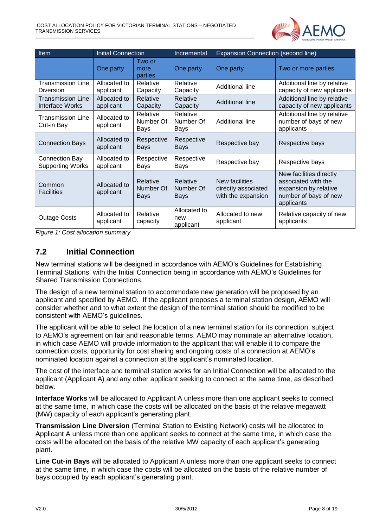

| <b>Item</b>                                      | <b>Initial Connection</b> |                                      | Incremental                          | <b>Expansion Connection (second line)</b>                   |                                                                                                                |
|--------------------------------------------------|---------------------------|--------------------------------------|--------------------------------------|-------------------------------------------------------------|----------------------------------------------------------------------------------------------------------------|
|                                                  | One party                 | Two or<br>more<br>parties            | One party                            | One party                                                   | Two or more parties                                                                                            |
| <b>Transmission Line</b><br><b>Diversion</b>     | Allocated to<br>applicant | Relative<br>Capacity                 | Relative<br>Capacity                 | Additional line                                             | Additional line by relative<br>capacity of new applicants                                                      |
| <b>Transmission Line</b><br>Interface Works      | Allocated to<br>applicant | Relative<br>Capacity                 | Relative<br>Capacity                 | Additional line                                             | Additional line by relative<br>capacity of new applicants                                                      |
| <b>Transmission Line</b><br>Cut-in Bay           | Allocated to<br>applicant | Relative<br>Number Of<br>Bays        | Relative<br>Number Of<br>Bays        | Additional line                                             | Additional line by relative<br>number of bays of new<br>applicants                                             |
| <b>Connection Bays</b>                           | Allocated to<br>applicant | Respective<br><b>Bays</b>            | Respective<br><b>Bays</b>            | Respective bay                                              | Respective bays                                                                                                |
| <b>Connection Bay</b><br><b>Supporting Works</b> | Allocated to<br>applicant | Respective<br>Bays                   | Respective<br>Bays                   | Respective bay                                              | Respective bays                                                                                                |
| Common<br><b>Facilities</b>                      | Allocated to<br>applicant | Relative<br>Number Of<br><b>Bays</b> | Relative<br>Number Of<br><b>Bays</b> | New facilities<br>directly associated<br>with the expansion | New facilities directly<br>associated with the<br>expansion by relative<br>number of bays of new<br>applicants |
| <b>Outage Costs</b>                              | Allocated to<br>applicant | Relative<br>capacity                 | Allocated to<br>new<br>applicant     | Allocated to new<br>applicant                               | Relative capacity of new<br>applicants                                                                         |

<span id="page-7-0"></span>*Figure 1: Cost allocation summary*

## **7.2 Initial Connection**

New terminal stations will be designed in accordance with AEMO's Guidelines for Establishing Terminal Stations, with the Initial Connection being in accordance with AEMO's Guidelines for Shared Transmission Connections.

The design of a new terminal station to accommodate new generation will be proposed by an applicant and specified by AEMO. If the applicant proposes a terminal station design, AEMO will consider whether and to what extent the design of the terminal station should be modified to be consistent with AEMO's guidelines.

The applicant will be able to select the location of a new terminal station for its connection, subject to AEMO's agreement on fair and reasonable terms. AEMO may nominate an alternative location, in which case AEMO will provide information to the applicant that will enable it to compare the connection costs, opportunity for cost sharing and ongoing costs of a connection at AEMO's nominated location against a connection at the applicant's nominated location.

The cost of the interface and terminal station works for an Initial Connection will be allocated to the applicant (Applicant A) and any other applicant seeking to connect at the same time, as described below.

**Interface Works** will be allocated to Applicant A unless more than one applicant seeks to connect at the same time, in which case the costs will be allocated on the basis of the relative megawatt (MW) capacity of each applicant's generating plant.

**Transmission Line Diversion** (Terminal Station to Existing Network) costs will be allocated to Applicant A unless more than one applicant seeks to connect at the same time, in which case the costs will be allocated on the basis of the relative MW capacity of each applicant's generating plant.

**Line Cut-in Bays** will be allocated to Applicant A unless more than one applicant seeks to connect at the same time, in which case the costs will be allocated on the basis of the relative number of bays occupied by each applicant's generating plant.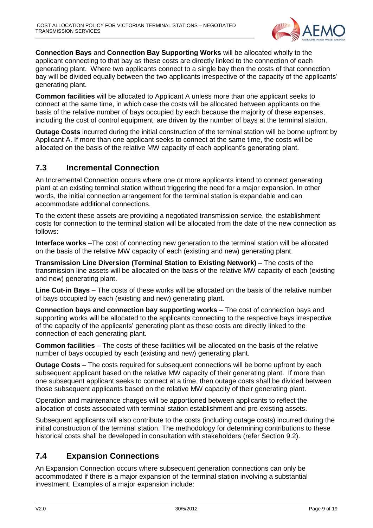

**Connection Bays** and **Connection Bay Supporting Works** will be allocated wholly to the applicant connecting to that bay as these costs are directly linked to the connection of each generating plant. Where two applicants connect to a single bay then the costs of that connection bay will be divided equally between the two applicants irrespective of the capacity of the applicants' generating plant.

**Common facilities** will be allocated to Applicant A unless more than one applicant seeks to connect at the same time, in which case the costs will be allocated between applicants on the basis of the relative number of bays occupied by each because the majority of these expenses, including the cost of control equipment, are driven by the number of bays at the terminal station.

**Outage Costs** incurred during the initial construction of the terminal station will be borne upfront by Applicant A. If more than one applicant seeks to connect at the same time, the costs will be allocated on the basis of the relative MW capacity of each applicant's generating plant.

## <span id="page-8-0"></span>**7.3 Incremental Connection**

An Incremental Connection occurs where one or more applicants intend to connect generating plant at an existing terminal station without triggering the need for a major expansion. In other words, the initial connection arrangement for the terminal station is expandable and can accommodate additional connections.

To the extent these assets are providing a negotiated transmission service, the establishment costs for connection to the terminal station will be allocated from the date of the new connection as follows:

**Interface works** –The cost of connecting new generation to the terminal station will be allocated on the basis of the relative MW capacity of each (existing and new) generating plant.

**Transmission Line Diversion (Terminal Station to Existing Network)** – The costs of the transmission line assets will be allocated on the basis of the relative MW capacity of each (existing and new) generating plant.

**Line Cut-in Bays** – The costs of these works will be allocated on the basis of the relative number of bays occupied by each (existing and new) generating plant.

**Connection bays and connection bay supporting works** – The cost of connection bays and supporting works will be allocated to the applicants connecting to the respective bays irrespective of the capacity of the applicants' generating plant as these costs are directly linked to the connection of each generating plant.

**Common facilities** – The costs of these facilities will be allocated on the basis of the relative number of bays occupied by each (existing and new) generating plant.

**Outage Costs** – The costs required for subsequent connections will be borne upfront by each subsequent applicant based on the relative MW capacity of their generating plant. If more than one subsequent applicant seeks to connect at a time, then outage costs shall be divided between those subsequent applicants based on the relative MW capacity of their generating plant.

Operation and maintenance charges will be apportioned between applicants to reflect the allocation of costs associated with terminal station establishment and pre-existing assets.

Subsequent applicants will also contribute to the costs (including outage costs) incurred during the initial construction of the terminal station. The methodology for determining contributions to these historical costs shall be developed in consultation with stakeholders (refer Section 9.2).

## <span id="page-8-1"></span>**7.4 Expansion Connections**

An Expansion Connection occurs where subsequent generation connections can only be accommodated if there is a major expansion of the terminal station involving a substantial investment. Examples of a major expansion include: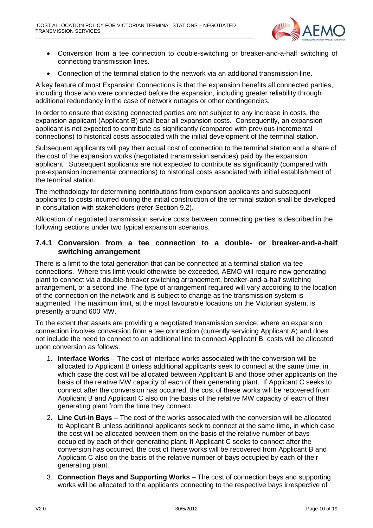

- Conversion from a tee connection to double-switching or breaker-and-a-half switching of connecting transmission lines.
- Connection of the terminal station to the network via an additional transmission line.

A key feature of most Expansion Connections is that the expansion benefits all connected parties, including those who were connected before the expansion, including greater reliability through additional redundancy in the case of network outages or other contingencies.

In order to ensure that existing connected parties are not subject to any increase in costs, the expansion applicant (Applicant B) shall bear all expansion costs. Consequently, an expansion applicant is not expected to contribute as significantly (compared with previous incremental connections) to historical costs associated with the initial development of the terminal station.

Subsequent applicants will pay their actual cost of connection to the terminal station and a share of the cost of the expansion works (negotiated transmission services) paid by the expansion applicant. Subsequent applicants are not expected to contribute as significantly (compared with pre-expansion incremental connections) to historical costs associated with initial establishment of the terminal station.

The methodology for determining contributions from expansion applicants and subsequent applicants to costs incurred during the initial construction of the terminal station shall be developed in consultation with stakeholders (refer Section 9.2).

Allocation of negotiated transmission service costs between connecting parties is described in the following sections under two typical expansion scenarios.

#### <span id="page-9-0"></span>**7.4.1 Conversion from a tee connection to a double- or breaker-and-a-half switching arrangement**

There is a limit to the total generation that can be connected at a terminal station via tee connections. Where this limit would otherwise be exceeded, AEMO will require new generating plant to connect via a double-breaker switching arrangement, breaker-and-a-half switching arrangement, or a second line. The type of arrangement required will vary according to the location of the connection on the network and is subject to change as the transmission system is augmented. The maximum limit, at the most favourable locations on the Victorian system, is presently around 600 MW.

To the extent that assets are providing a negotiated transmission service, where an expansion connection involves conversion from a tee connection (currently servicing Applicant A) and does not include the need to connect to an additional line to connect Applicant B, costs will be allocated upon conversion as follows:

- 1. **Interface Works** The cost of interface works associated with the conversion will be allocated to Applicant B unless additional applicants seek to connect at the same time, in which case the cost will be allocated between Applicant B and those other applicants on the basis of the relative MW capacity of each of their generating plant. If Applicant C seeks to connect after the conversion has occurred, the cost of these works will be recovered from Applicant B and Applicant C also on the basis of the relative MW capacity of each of their generating plant from the time they connect.
- 2. **Line Cut-in Bays** The cost of the works associated with the conversion will be allocated to Applicant B unless additional applicants seek to connect at the same time, in which case the cost will be allocated between them on the basis of the relative number of bays occupied by each of their generating plant. If Applicant C seeks to connect after the conversion has occurred, the cost of these works will be recovered from Applicant B and Applicant C also on the basis of the relative number of bays occupied by each of their generating plant.
- 3. **Connection Bays and Supporting Works** The cost of connection bays and supporting works will be allocated to the applicants connecting to the respective bays irrespective of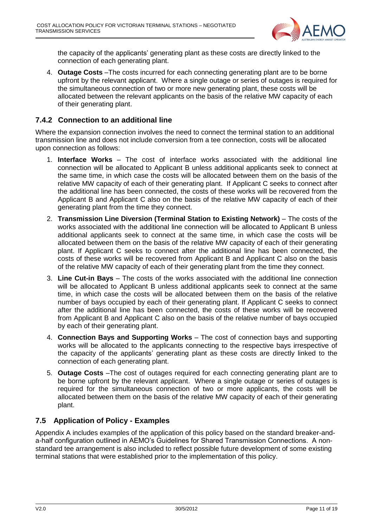

the capacity of the applicants' generating plant as these costs are directly linked to the connection of each generating plant.

4. **Outage Costs** –The costs incurred for each connecting generating plant are to be borne upfront by the relevant applicant. Where a single outage or series of outages is required for the simultaneous connection of two or more new generating plant, these costs will be allocated between the relevant applicants on the basis of the relative MW capacity of each of their generating plant.

#### <span id="page-10-0"></span>**7.4.2 Connection to an additional line**

Where the expansion connection involves the need to connect the terminal station to an additional transmission line and does not include conversion from a tee connection, costs will be allocated upon connection as follows:

- 1. **Interface Works** The cost of interface works associated with the additional line connection will be allocated to Applicant B unless additional applicants seek to connect at the same time, in which case the costs will be allocated between them on the basis of the relative MW capacity of each of their generating plant. If Applicant C seeks to connect after the additional line has been connected, the costs of these works will be recovered from the Applicant B and Applicant C also on the basis of the relative MW capacity of each of their generating plant from the time they connect.
- 2. **Transmission Line Diversion (Terminal Station to Existing Network)** The costs of the works associated with the additional line connection will be allocated to Applicant B unless additional applicants seek to connect at the same time, in which case the costs will be allocated between them on the basis of the relative MW capacity of each of their generating plant. If Applicant C seeks to connect after the additional line has been connected, the costs of these works will be recovered from Applicant B and Applicant C also on the basis of the relative MW capacity of each of their generating plant from the time they connect.
- 3. **Line Cut-in Bays** The costs of the works associated with the additional line connection will be allocated to Applicant B unless additional applicants seek to connect at the same time, in which case the costs will be allocated between them on the basis of the relative number of bays occupied by each of their generating plant. If Applicant C seeks to connect after the additional line has been connected, the costs of these works will be recovered from Applicant B and Applicant C also on the basis of the relative number of bays occupied by each of their generating plant.
- 4. **Connection Bays and Supporting Works** The cost of connection bays and supporting works will be allocated to the applicants connecting to the respective bays irrespective of the capacity of the applicants' generating plant as these costs are directly linked to the connection of each generating plant.
- 5. **Outage Costs** –The cost of outages required for each connecting generating plant are to be borne upfront by the relevant applicant. Where a single outage or series of outages is required for the simultaneous connection of two or more applicants, the costs will be allocated between them on the basis of the relative MW capacity of each of their generating plant.

## <span id="page-10-1"></span>**7.5 Application of Policy - Examples**

Appendix A includes examples of the application of this policy based on the standard breaker-anda-half configuration outlined in AEMO's Guidelines for Shared Transmission Connections. A nonstandard tee arrangement is also included to reflect possible future development of some existing terminal stations that were established prior to the implementation of this policy.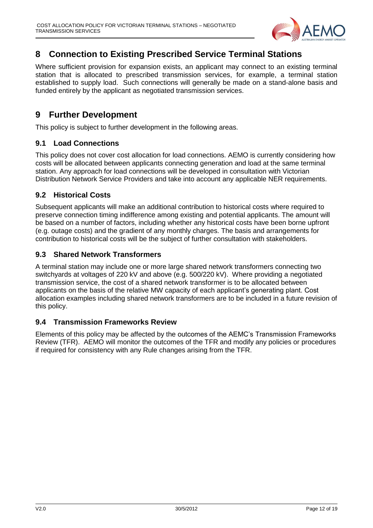

## <span id="page-11-0"></span>**8 Connection to Existing Prescribed Service Terminal Stations**

Where sufficient provision for expansion exists, an applicant may connect to an existing terminal station that is allocated to prescribed transmission services, for example, a terminal station established to supply load. Such connections will generally be made on a stand-alone basis and funded entirely by the applicant as negotiated transmission services.

## <span id="page-11-1"></span>**9 Further Development**

This policy is subject to further development in the following areas.

#### <span id="page-11-2"></span>**9.1 Load Connections**

This policy does not cover cost allocation for load connections. AEMO is currently considering how costs will be allocated between applicants connecting generation and load at the same terminal station. Any approach for load connections will be developed in consultation with Victorian Distribution Network Service Providers and take into account any applicable NER requirements.

#### <span id="page-11-3"></span>**9.2 Historical Costs**

Subsequent applicants will make an additional contribution to historical costs where required to preserve connection timing indifference among existing and potential applicants. The amount will be based on a number of factors, including whether any historical costs have been borne upfront (e.g. outage costs) and the gradient of any monthly charges. The basis and arrangements for contribution to historical costs will be the subject of further consultation with stakeholders.

#### <span id="page-11-4"></span>**9.3 Shared Network Transformers**

A terminal station may include one or more large shared network transformers connecting two switchyards at voltages of 220 kV and above (e.g. 500/220 kV). Where providing a negotiated transmission service, the cost of a shared network transformer is to be allocated between applicants on the basis of the relative MW capacity of each applicant's generating plant. Cost allocation examples including shared network transformers are to be included in a future revision of this policy.

## <span id="page-11-5"></span>**9.4 Transmission Frameworks Review**

Elements of this policy may be affected by the outcomes of the AEMC's Transmission Frameworks Review (TFR). AEMO will monitor the outcomes of the TFR and modify any policies or procedures if required for consistency with any Rule changes arising from the TFR.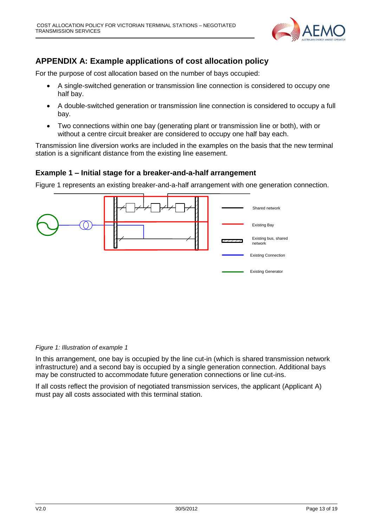

## <span id="page-12-0"></span>**APPENDIX A: Example applications of cost allocation policy**

For the purpose of cost allocation based on the number of bays occupied:

- A single-switched generation or transmission line connection is considered to occupy one half bay.
- A double-switched generation or transmission line connection is considered to occupy a full bay.
- Two connections within one bay (generating plant or transmission line or both), with or without a centre circuit breaker are considered to occupy one half bay each.

Transmission line diversion works are included in the examples on the basis that the new terminal station is a significant distance from the existing line easement.

#### **Example 1 – Initial stage for a breaker-and-a-half arrangement**

Figure 1 represents an existing breaker-and-a-half arrangement with one generation connection.



*Figure 1: Illustration of example 1*

In this arrangement, one bay is occupied by the line cut-in (which is shared transmission network infrastructure) and a second bay is occupied by a single generation connection. Additional bays may be constructed to accommodate future generation connections or line cut-ins.

If all costs reflect the provision of negotiated transmission services, the applicant (Applicant A) must pay all costs associated with this terminal station.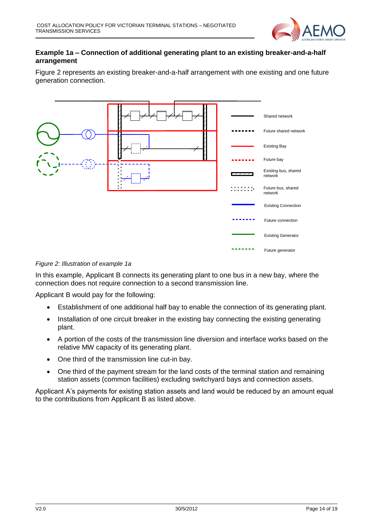

#### **Example 1a – Connection of additional generating plant to an existing breaker-and-a-half arrangement**

Figure 2 represents an existing breaker-and-a-half arrangement with one existing and one future generation connection.



*Figure 2: Illustration of example 1a*

In this example, Applicant B connects its generating plant to one bus in a new bay, where the connection does not require connection to a second transmission line.

Applicant B would pay for the following:

- Establishment of one additional half bay to enable the connection of its generating plant.
- Installation of one circuit breaker in the existing bay connecting the existing generating plant.
- A portion of the costs of the transmission line diversion and interface works based on the relative MW capacity of its generating plant.
- One third of the transmission line cut-in bay.
- One third of the payment stream for the land costs of the terminal station and remaining station assets (common facilities) excluding switchyard bays and connection assets.

Applicant A's payments for existing station assets and land would be reduced by an amount equal to the contributions from Applicant B as listed above.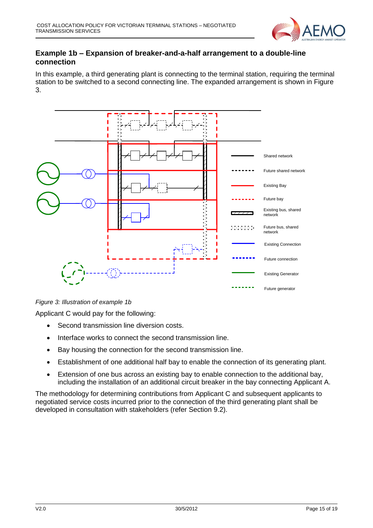

#### **Example 1b – Expansion of breaker-and-a-half arrangement to a double-line connection**

In this example, a third generating plant is connecting to the terminal station, requiring the terminal station to be switched to a second connecting line. The expanded arrangement is shown in Figure 3.



*Figure 3: Illustration of example 1b*

Applicant C would pay for the following:

- Second transmission line diversion costs.
- Interface works to connect the second transmission line.
- Bay housing the connection for the second transmission line.
- Establishment of one additional half bay to enable the connection of its generating plant.
- Extension of one bus across an existing bay to enable connection to the additional bay, including the installation of an additional circuit breaker in the bay connecting Applicant A.

The methodology for determining contributions from Applicant C and subsequent applicants to negotiated service costs incurred prior to the connection of the third generating plant shall be developed in consultation with stakeholders (refer Section 9.2).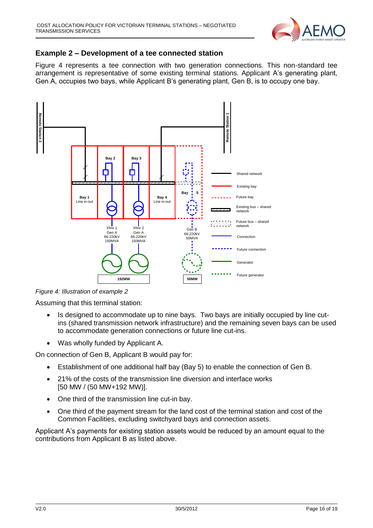

### **Example 2 – Development of a tee connected station**

Figure 4 represents a tee connection with two generation connections. This non-standard tee arrangement is representative of some existing terminal stations. Applicant A's generating plant, Gen A, occupies two bays, while Applicant B's generating plant, Gen B, is to occupy one bay.



*Figure 4: Illustration of example 2*

Assuming that this terminal station:

- Is designed to accommodate up to nine bays. Two bays are initially occupied by line cutins (shared transmission network infrastructure) and the remaining seven bays can be used to accommodate generation connections or future line cut-ins.
- Was wholly funded by Applicant A.

On connection of Gen B, Applicant B would pay for:

- Establishment of one additional half bay (Bay 5) to enable the connection of Gen B.
- 21% of the costs of the transmission line diversion and interface works [50 MW / (50 MW+192 MW)].
- One third of the transmission line cut-in bay.
- One third of the payment stream for the land cost of the terminal station and cost of the Common Facilities, excluding switchyard bays and connection assets.

Applicant A's payments for existing station assets would be reduced by an amount equal to the contributions from Applicant B as listed above.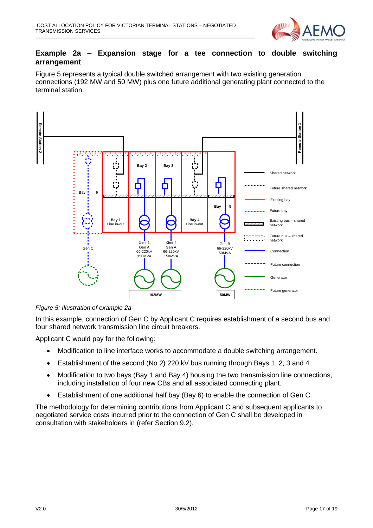

#### **Example 2a – Expansion stage for a tee connection to double switching arrangement**

Figure 5 represents a typical double switched arrangement with two existing generation connections (192 MW and 50 MW) plus one future additional generating plant connected to the terminal station.



*Figure 5: Illustration of example 2a*

In this example, connection of Gen C by Applicant C requires establishment of a second bus and four shared network transmission line circuit breakers.

Applicant C would pay for the following:

- Modification to line interface works to accommodate a double switching arrangement.
- Establishment of the second (No 2) 220 kV bus running through Bays 1, 2, 3 and 4.
- Modification to two bays (Bay 1 and Bay 4) housing the two transmission line connections, including installation of four new CBs and all associated connecting plant.
- Establishment of one additional half bay (Bay 6) to enable the connection of Gen C.

The methodology for determining contributions from Applicant C and subsequent applicants to negotiated service costs incurred prior to the connection of Gen C shall be developed in consultation with stakeholders in (refer Section 9.2).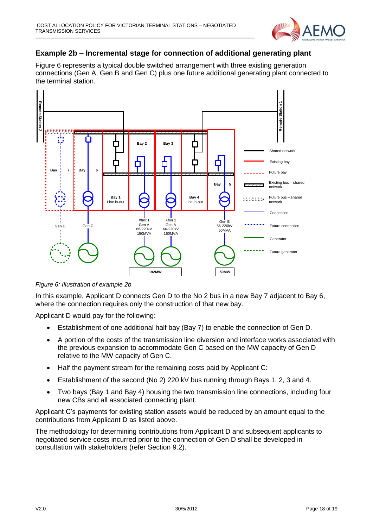

## **Example 2b – Incremental stage for connection of additional generating plant**

Figure 6 represents a typical double switched arrangement with three existing generation connections (Gen A, Gen B and Gen C) plus one future additional generating plant connected to the terminal station.



*Figure 6: Illustration of example 2b*

In this example, Applicant D connects Gen D to the No 2 bus in a new Bay 7 adjacent to Bay 6, where the connection requires only the construction of that new bay.

Applicant D would pay for the following:

- Establishment of one additional half bay (Bay 7) to enable the connection of Gen D.
- A portion of the costs of the transmission line diversion and interface works associated with the previous expansion to accommodate Gen C based on the MW capacity of Gen D relative to the MW capacity of Gen C.
- Half the payment stream for the remaining costs paid by Applicant C:
- Establishment of the second (No 2) 220 kV bus running through Bays 1, 2, 3 and 4.
- Two bays (Bay 1 and Bay 4) housing the two transmission line connections, including four new CBs and all associated connecting plant.

Applicant C's payments for existing station assets would be reduced by an amount equal to the contributions from Applicant D as listed above.

The methodology for determining contributions from Applicant D and subsequent applicants to negotiated service costs incurred prior to the connection of Gen D shall be developed in consultation with stakeholders (refer Section 9.2).